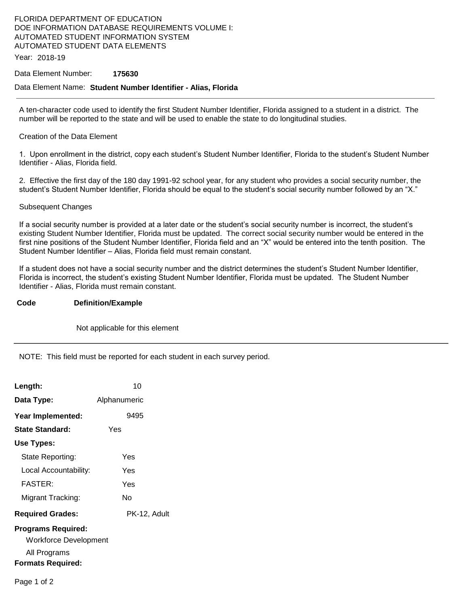# FLORIDA DEPARTMENT OF EDUCATION DOE INFORMATION DATABASE REQUIREMENTS VOLUME I: AUTOMATED STUDENT INFORMATION SYSTEM AUTOMATED STUDENT DATA ELEMENTS

Year: 2018-19

### Data Element Number: **175630**

### Data Element Name: **Student Number Identifier - Alias, Florida**

A ten-character code used to identify the first Student Number Identifier, Florida assigned to a student in a district. The number will be reported to the state and will be used to enable the state to do longitudinal studies.

## Creation of the Data Element

1. Upon enrollment in the district, copy each student's Student Number Identifier, Florida to the student's Student Number Identifier - Alias, Florida field.

2. Effective the first day of the 180 day 1991-92 school year, for any student who provides a social security number, the student's Student Number Identifier, Florida should be equal to the student's social security number followed by an "X."

#### Subsequent Changes

If a social security number is provided at a later date or the student's social security number is incorrect, the student's existing Student Number Identifier, Florida must be updated. The correct social security number would be entered in the first nine positions of the Student Number Identifier, Florida field and an "X" would be entered into the tenth position. The Student Number Identifier – Alias, Florida field must remain constant.

If a student does not have a social security number and the district determines the student's Student Number Identifier, Florida is incorrect, the student's existing Student Number Identifier, Florida must be updated. The Student Number Identifier - Alias, Florida must remain constant.

## **Code Definition/Example**

Not applicable for this element

NOTE: This field must be reported for each student in each survey period.

| Length:                   | 10           |
|---------------------------|--------------|
| Data Type:                | Alphanumeric |
| Year Implemented:         | 9495         |
| State Standard:           | Yes          |
| Use Types:                |              |
| State Reporting:          | Yes          |
| Local Accountability:     | Yes          |
| <b>FASTER:</b>            | Yes          |
| Migrant Tracking:         | N٥           |
| <b>Required Grades:</b>   | PK-12, Adult |
| <b>Programs Required:</b> |              |
| Workforce Development     |              |
| All Programs              |              |
| <b>Formats Required:</b>  |              |